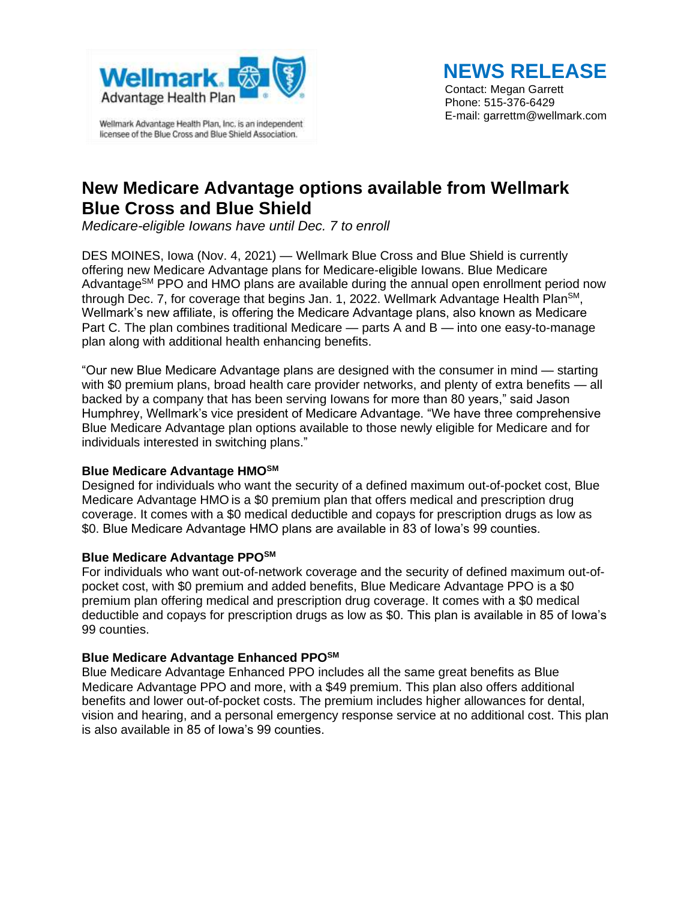

Wellmark Advantage Health Plan, Inc. is an independent licensee of the Blue Cross and Blue Shield Association.

# **NEWS RELEASE**

Contact: Megan Garrett Phone: 515-376-6429 E-mail: garrettm@wellmark.com

## **New Medicare Advantage options available from Wellmark Blue Cross and Blue Shield**

*Medicare-eligible Iowans have until Dec. 7 to enroll*

DES MOINES, Iowa (Nov. 4, 2021) — Wellmark Blue Cross and Blue Shield is currently offering new Medicare Advantage plans for Medicare-eligible Iowans. Blue Medicare Advantage<sup>SM</sup> PPO and HMO plans are available during the annual open enrollment period now through Dec. 7, for coverage that begins Jan. 1, 2022. Wellmark Advantage Health Plan<sup>SM</sup>, Wellmark's new affiliate, is offering the Medicare Advantage plans, also known as Medicare Part C. The plan combines traditional Medicare — parts A and B — into one easy-to-manage plan along with additional health enhancing benefits.

"Our new Blue Medicare Advantage plans are designed with the consumer in mind — starting with \$0 premium plans, broad health care provider networks, and plenty of extra benefits — all backed by a company that has been serving Iowans for more than 80 years," said Jason Humphrey, Wellmark's vice president of Medicare Advantage. "We have three comprehensive Blue Medicare Advantage plan options available to those newly eligible for Medicare and for individuals interested in switching plans."

### **Blue Medicare Advantage HMOSM**

Designed for individuals who want the security of a defined maximum out-of-pocket cost, Blue Medicare Advantage HMO is a \$0 premium plan that offers medical and prescription drug coverage. It comes with a \$0 medical deductible and copays for prescription drugs as low as \$0. Blue Medicare Advantage HMO plans are available in 83 of Iowa's 99 counties.

#### **Blue Medicare Advantage PPOSM**

For individuals who want out-of-network coverage and the security of defined maximum out-ofpocket cost, with \$0 premium and added benefits, Blue Medicare Advantage PPO is a \$0 premium plan offering medical and prescription drug coverage. It comes with a \$0 medical deductible and copays for prescription drugs as low as \$0. This plan is available in 85 of Iowa's 99 counties.

#### **Blue Medicare Advantage Enhanced PPOSM**

Blue Medicare Advantage Enhanced PPO includes all the same great benefits as Blue Medicare Advantage PPO and more, with a \$49 premium. This plan also offers additional benefits and lower out-of-pocket costs. The premium includes higher allowances for dental, vision and hearing, and a personal emergency response service at no additional cost. This plan is also available in 85 of Iowa's 99 counties.